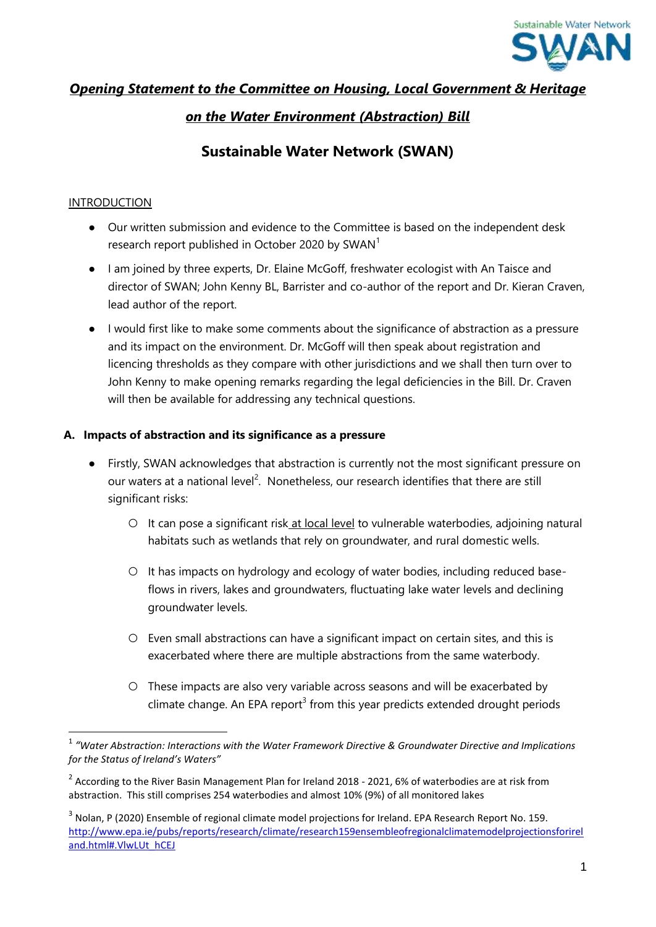

## *Opening Statement to the Committee on Housing, Local Government & Heritage*

## *on the Water Environment (Abstraction) Bill*

# **Sustainable Water Network (SWAN)**

#### INTRODUCTION

- Our written submission and evidence to the Committee is based on the independent desk research report published in October 2020 by SWAN<sup>1</sup>
- I am joined by three experts, Dr. Elaine McGoff, freshwater ecologist with An Taisce and director of SWAN; John Kenny BL, Barrister and co-author of the report and Dr. Kieran Craven, lead author of the report.
- I would first like to make some comments about the significance of abstraction as a pressure and its impact on the environment. Dr. McGoff will then speak about registration and licencing thresholds as they compare with other jurisdictions and we shall then turn over to John Kenny to make opening remarks regarding the legal deficiencies in the Bill. Dr. Craven will then be available for addressing any technical questions.

#### **A. Impacts of abstraction and its significance as a pressure**

- Firstly, SWAN acknowledges that abstraction is currently not the most significant pressure on our waters at a national level<sup>2</sup>. Nonetheless, our research identifies that there are still significant risks:
	- It can pose a significant risk at local level to vulnerable waterbodies, adjoining natural habitats such as wetlands that rely on groundwater, and rural domestic wells.
	- It has impacts on hydrology and ecology of water bodies, including reduced baseflows in rivers, lakes and groundwaters, fluctuating lake water levels and declining groundwater levels.
	- Even small abstractions can have a significant impact on certain sites, and this is exacerbated where there are multiple abstractions from the same waterbody.
	- These impacts are also very variable across seasons and will be exacerbated by climate change. An EPA report<sup>3</sup> from this year predicts extended drought periods

<sup>1</sup> *"Water Abstraction: Interactions with the Water Framework Directive & Groundwater Directive and Implications for the Status of Ireland's Waters"*

<sup>&</sup>lt;sup>2</sup> According to the River Basin Management Plan for Ireland 2018 - 2021, 6% of waterbodies are at risk from abstraction. This still comprises 254 waterbodies and almost 10% (9%) of all monitored lakes

 $^3$  Nolan, P (2020) Ensemble of regional climate model projections for Ireland. EPA Research Report No. 159. [http://www.epa.ie/pubs/reports/research/climate/research159ensembleofregionalclimatemodelprojectionsforirel](http://www.epa.ie/pubs/reports/research/climate/research159ensembleofregionalclimatemodelprojectionsforireland.html#.VlwLUt_hCEJ) [and.html#.VlwLUt\\_hCEJ](http://www.epa.ie/pubs/reports/research/climate/research159ensembleofregionalclimatemodelprojectionsforireland.html#.VlwLUt_hCEJ)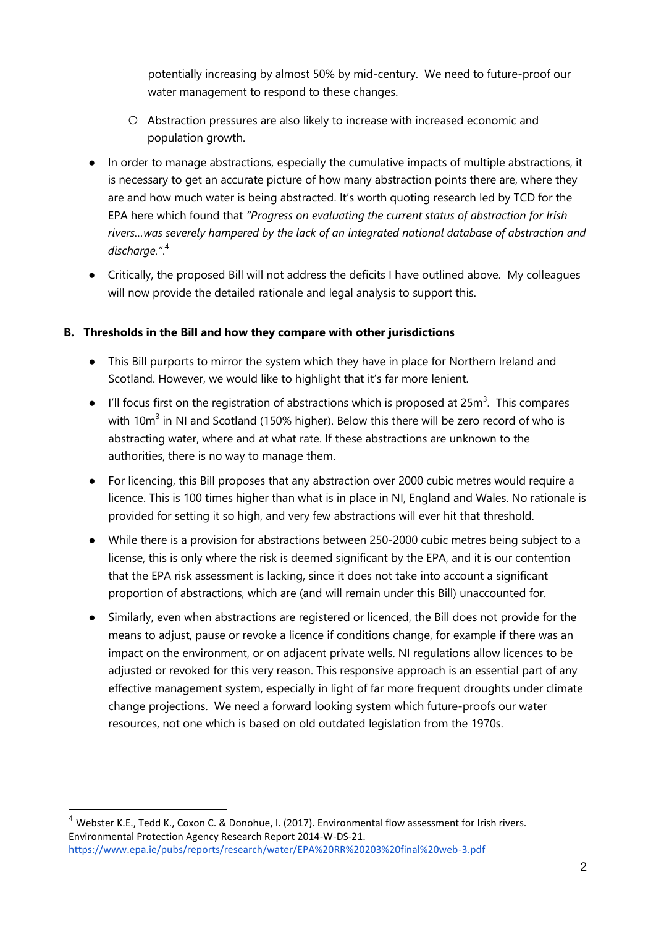potentially increasing by almost 50% by mid-century. We need to future-proof our water management to respond to these changes.

- Abstraction pressures are also likely to increase with increased economic and population growth.
- In order to manage abstractions, especially the cumulative impacts of multiple abstractions, it is necessary to get an accurate picture of how many abstraction points there are, where they are and how much water is being abstracted. It's worth quoting research led by TCD for the EPA here which found that *"Progress on evaluating the current status of abstraction for Irish rivers…was severely hampered by the lack of an integrated national database of abstraction and discharge."*. 4
- Critically, the proposed Bill will not address the deficits I have outlined above. My colleagues will now provide the detailed rationale and legal analysis to support this.

### **B. Thresholds in the Bill and how they compare with other jurisdictions**

- This Bill purports to mirror the system which they have in place for Northern Ireland and Scotland. However, we would like to highlight that it's far more lenient.
- $\bullet$  I'll focus first on the registration of abstractions which is proposed at 25m<sup>3</sup>. This compares with 10 $m^3$  in NI and Scotland (150% higher). Below this there will be zero record of who is abstracting water, where and at what rate. If these abstractions are unknown to the authorities, there is no way to manage them.
- For licencing, this Bill proposes that any abstraction over 2000 cubic metres would require a licence. This is 100 times higher than what is in place in NI, England and Wales. No rationale is provided for setting it so high, and very few abstractions will ever hit that threshold.
- While there is a provision for abstractions between 250-2000 cubic metres being subject to a license, this is only where the risk is deemed significant by the EPA, and it is our contention that the EPA risk assessment is lacking, since it does not take into account a significant proportion of abstractions, which are (and will remain under this Bill) unaccounted for.
- Similarly, even when abstractions are registered or licenced, the Bill does not provide for the means to adjust, pause or revoke a licence if conditions change, for example if there was an impact on the environment, or on adjacent private wells. NI regulations allow licences to be adjusted or revoked for this very reason. This responsive approach is an essential part of any effective management system, especially in light of far more frequent droughts under climate change projections. We need a forward looking system which future-proofs our water resources, not one which is based on old outdated legislation from the 1970s.

 $\overline{a}$ 

<sup>&</sup>lt;sup>4</sup> Webster K.E., Tedd K., Coxon C. & Donohue, I. (2017). Environmental flow assessment for Irish rivers. Environmental Protection Agency Research Report 2014-W-DS-21. https://www.epa.ie/pubs/reports/research/water/EPA%20RR%20203%20final%20web-3.pdf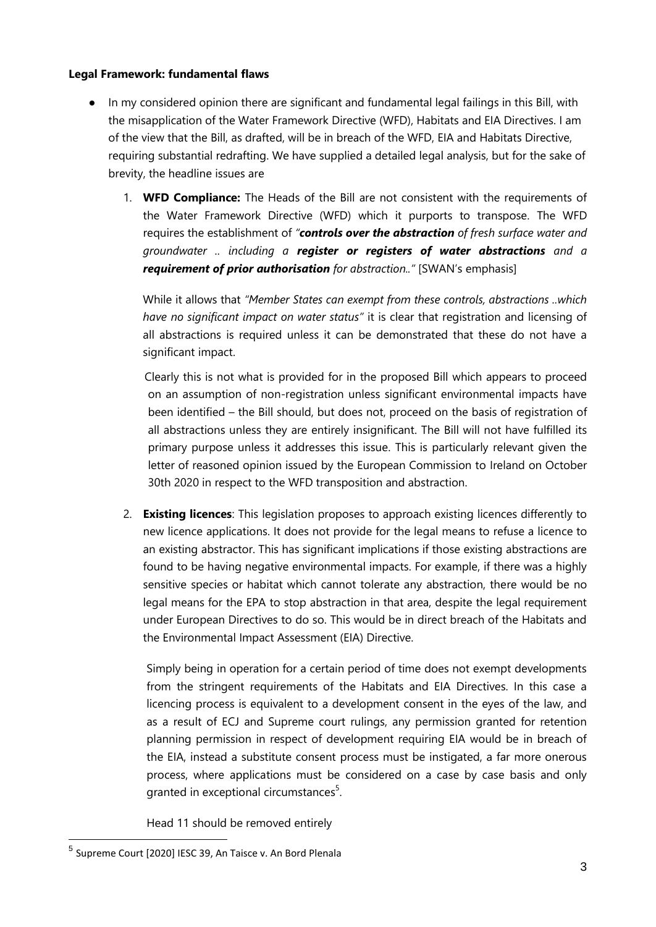#### **Legal Framework: fundamental flaws**

- In my considered opinion there are significant and fundamental legal failings in this Bill, with the misapplication of the Water Framework Directive (WFD), Habitats and EIA Directives. I am of the view that the Bill, as drafted, will be in breach of the WFD, EIA and Habitats Directive, requiring substantial redrafting. We have supplied a detailed legal analysis, but for the sake of brevity, the headline issues are
	- 1. **WFD Compliance:** The Heads of the Bill are not consistent with the requirements of the Water Framework Directive (WFD) which it purports to transpose. The WFD requires the establishment of *"controls over the abstraction of fresh surface water and groundwater .. including a register or registers of water abstractions and a requirement of prior authorisation for abstraction.."* [SWAN's emphasis]

While it allows that *"Member States can exempt from these controls, abstractions ..which have no significant impact on water status"* it is clear that registration and licensing of all abstractions is required unless it can be demonstrated that these do not have a significant impact.

Clearly this is not what is provided for in the proposed Bill which appears to proceed on an assumption of non-registration unless significant environmental impacts have been identified – the Bill should, but does not, proceed on the basis of registration of all abstractions unless they are entirely insignificant. The Bill will not have fulfilled its primary purpose unless it addresses this issue. This is particularly relevant given the letter of reasoned opinion issued by the European Commission to Ireland on October 30th 2020 in respect to the WFD transposition and abstraction.

2. **Existing licences**: This legislation proposes to approach existing licences differently to new licence applications. It does not provide for the legal means to refuse a licence to an existing abstractor. This has significant implications if those existing abstractions are found to be having negative environmental impacts. For example, if there was a highly sensitive species or habitat which cannot tolerate any abstraction, there would be no legal means for the EPA to stop abstraction in that area, despite the legal requirement under European Directives to do so. This would be in direct breach of the Habitats and the Environmental Impact Assessment (EIA) Directive.

Simply being in operation for a certain period of time does not exempt developments from the stringent requirements of the Habitats and EIA Directives. In this case a licencing process is equivalent to a development consent in the eyes of the law, and as a result of ECJ and Supreme court rulings, any permission granted for retention planning permission in respect of development requiring EIA would be in breach of the EIA, instead a substitute consent process must be instigated, a far more onerous process, where applications must be considered on a case by case basis and only granted in exceptional circumstances<sup>5</sup>.

Head 11 should be removed entirely

 $\overline{a}$ 

<sup>&</sup>lt;sup>5</sup> Supreme Court [2020] IESC 39, An Taisce v. An Bord Plenala